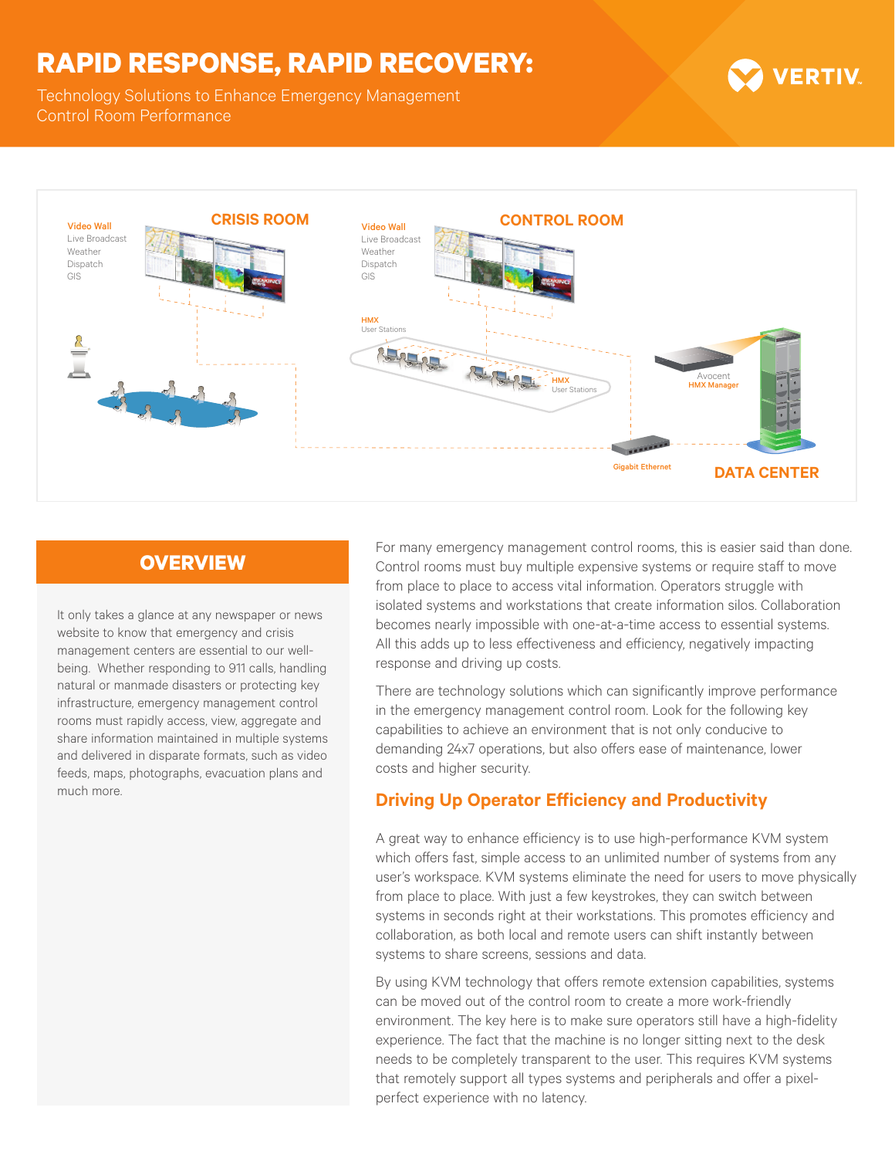## **RAPID RESPONSE, RAPID RECOVERY:**

Technology Solutions to Enhance Emergency Management Control Room Performance



#### **OVERVIEW**

It only takes a glance at any newspaper or news website to know that emergency and crisis management centers are essential to our wellbeing. Whether responding to 911 calls, handling natural or manmade disasters or protecting key infrastructure, emergency management control rooms must rapidly access, view, aggregate and share information maintained in multiple systems and delivered in disparate formats, such as video feeds, maps, photographs, evacuation plans and much more.

For many emergency management control rooms, this is easier said than done. Control rooms must buy multiple expensive systems or require staff to move from place to place to access vital information. Operators struggle with isolated systems and workstations that create information silos. Collaboration becomes nearly impossible with one-at-a-time access to essential systems. All this adds up to less effectiveness and efficiency, negatively impacting response and driving up costs.

**VERTIV** 

There are technology solutions which can significantly improve performance in the emergency management control room. Look for the following key capabilities to achieve an environment that is not only conducive to demanding 24x7 operations, but also offers ease of maintenance, lower costs and higher security.

### **Driving Up Operator Efficiency and Productivity**

A great way to enhance efficiency is to use high-performance KVM system which offers fast, simple access to an unlimited number of systems from any user's workspace. KVM systems eliminate the need for users to move physically from place to place. With just a few keystrokes, they can switch between systems in seconds right at their workstations. This promotes efficiency and collaboration, as both local and remote users can shift instantly between systems to share screens, sessions and data.

By using KVM technology that offers remote extension capabilities, systems can be moved out of the control room to create a more work-friendly environment. The key here is to make sure operators still have a high-fidelity experience. The fact that the machine is no longer sitting next to the desk needs to be completely transparent to the user. This requires KVM systems that remotely support all types systems and peripherals and offer a pixelperfect experience with no latency.